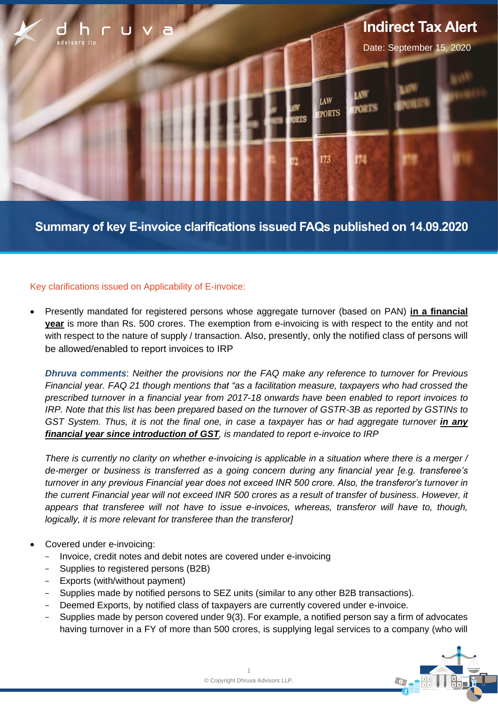

**Summary of key E-invoice clarifications issued FAQs published on 14.09.2020**

# Key clarifications issued on Applicability of E-invoice:

• Presently mandated for registered persons whose aggregate turnover (based on PAN) **in a financial year** is more than Rs. 500 crores. The exemption from e-invoicing is with respect to the entity and not with respect to the nature of supply / transaction. Also, presently, only the notified class of persons will be allowed/enabled to report invoices to IRP

*Dhruva comments*: *Neither the provisions nor the FAQ make any reference to turnover for Previous Financial year. FAQ 21 though mentions that "as a facilitation measure, taxpayers who had crossed the prescribed turnover in a financial year from 2017-18 onwards have been enabled to report invoices to IRP. Note that this list has been prepared based on the turnover of GSTR-3B as reported by GSTINs to GST System. Thus, it is not the final one, in case a taxpayer has or had aggregate <i>turnover in any financial year since introduction of GST, is mandated to report e-invoice to IRP*

*There is currently no clarity on whether e-invoicing is applicable in a situation where there is a merger / de-merger or business is transferred as a going concern during any financial year [e.g. transferee's turnover in any previous Financial year does not exceed INR 500 crore. Also, the transferor's turnover in the current Financial year will not exceed INR 500 crores as a result of transfer of business. However, it appears that transferee will not have to issue e-invoices, whereas, transferor will have to, though, logically, it is more relevant for transferee than the transferor]*

- Covered under e-invoicing:
	- Invoice, credit notes and debit notes are covered under e-invoicing
	- Supplies to registered persons (B2B)
	- Exports (with/without payment)
	- Supplies made by notified persons to SEZ units (similar to any other B2B transactions).
	- Deemed Exports, by notified class of taxpayers are currently covered under e-invoice.
	- Supplies made by person covered under 9(3). For example, a notified person say a firm of advocates having turnover in a FY of more than 500 crores, is supplying legal services to a company (who will

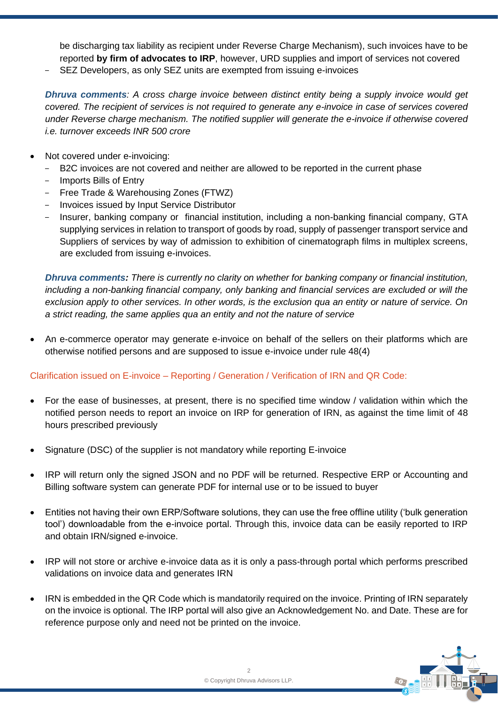be discharging tax liability as recipient under Reverse Charge Mechanism), such invoices have to be reported **by firm of advocates to IRP**, however, URD supplies and import of services not covered

SEZ Developers, as only SEZ units are exempted from issuing e-invoices

*Dhruva comments: A cross charge invoice between distinct entity being a supply invoice would get covered. The recipient of services is not required to generate any e-invoice in case of services covered under Reverse charge mechanism. The notified supplier will generate the e-invoice if otherwise covered i.e. turnover exceeds INR 500 crore*

- Not covered under e-invoicing:
	- B2C invoices are not covered and neither are allowed to be reported in the current phase
	- Imports Bills of Entry
	- Free Trade & Warehousing Zones (FTWZ)
	- Invoices issued by Input Service Distributor
	- Insurer, banking company or financial institution, including a non-banking financial company, GTA supplying services in relation to transport of goods by road, supply of passenger transport service and Suppliers of services by way of admission to exhibition of cinematograph films in multiplex screens, are excluded from issuing e-invoices.

*Dhruva comments: There is currently no clarity on whether for banking company or financial institution, including a non-banking financial company, only banking and financial services are excluded or will the exclusion apply to other services. In other words, is the exclusion qua an entity or nature of service. On a strict reading, the same applies qua an entity and not the nature of service*

• An e-commerce operator may generate e-invoice on behalf of the sellers on their platforms which are otherwise notified persons and are supposed to issue e-invoice under rule 48(4)

# Clarification issued on E-invoice – Reporting / Generation / Verification of IRN and QR Code:

- For the ease of businesses, at present, there is no specified time window / validation within which the notified person needs to report an invoice on IRP for generation of IRN, as against the time limit of 48 hours prescribed previously
- Signature (DSC) of the supplier is not mandatory while reporting E-invoice
- IRP will return only the signed JSON and no PDF will be returned. Respective ERP or Accounting and Billing software system can generate PDF for internal use or to be issued to buyer
- Entities not having their own ERP/Software solutions, they can use the free offline utility ('bulk generation tool') downloadable from the e-invoice portal. Through this, invoice data can be easily reported to IRP and obtain IRN/signed e-invoice.
- IRP will not store or archive e-invoice data as it is only a pass-through portal which performs prescribed validations on invoice data and generates IRN
- IRN is embedded in the QR Code which is mandatorily required on the invoice. Printing of IRN separately on the invoice is optional. The IRP portal will also give an Acknowledgement No. and Date. These are for reference purpose only and need not be printed on the invoice.

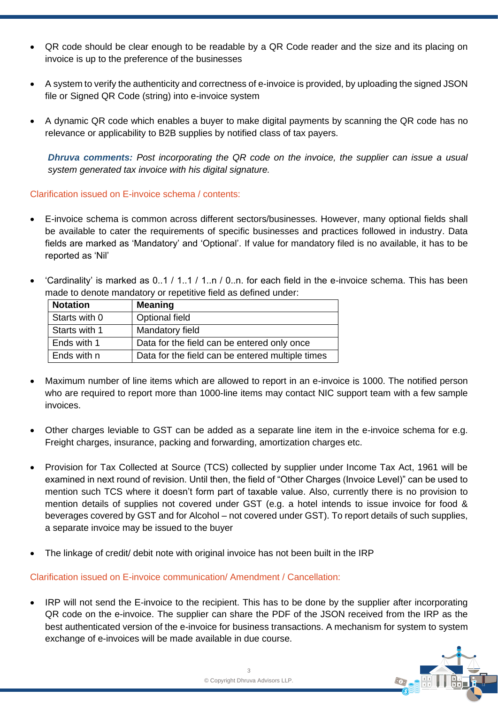- QR code should be clear enough to be readable by a QR Code reader and the size and its placing on invoice is up to the preference of the businesses
- A system to verify the authenticity and correctness of e-invoice is provided, by uploading the signed JSON file or Signed QR Code (string) into e-invoice system
- A dynamic QR code which enables a buyer to make digital payments by scanning the QR code has no relevance or applicability to B2B supplies by notified class of tax payers.

*Dhruva comments: Post incorporating the QR code on the invoice, the supplier can issue a usual system generated tax invoice with his digital signature.*

Clarification issued on E-invoice schema / contents:

- E-invoice schema is common across different sectors/businesses. However, many optional fields shall be available to cater the requirements of specific businesses and practices followed in industry. Data fields are marked as 'Mandatory' and 'Optional'. If value for mandatory filed is no available, it has to be reported as 'Nil'
- 'Cardinality' is marked as 0..1 / 1..1 / 1..n / 0..n. for each field in the e-invoice schema. This has been made to denote mandatory or repetitive field as defined under:

| <b>Notation</b> | <b>Meaning</b>                                   |
|-----------------|--------------------------------------------------|
| Starts with 0   | Optional field                                   |
| Starts with 1   | Mandatory field                                  |
| Ends with 1     | Data for the field can be entered only once      |
| Ends with n     | Data for the field can be entered multiple times |

- Maximum number of line items which are allowed to report in an e-invoice is 1000. The notified person who are required to report more than 1000-line items may contact NIC support team with a few sample invoices.
- Other charges leviable to GST can be added as a separate line item in the e-invoice schema for e.g. Freight charges, insurance, packing and forwarding, amortization charges etc.
- Provision for Tax Collected at Source (TCS) collected by supplier under Income Tax Act, 1961 will be examined in next round of revision. Until then, the field of "Other Charges (Invoice Level)" can be used to mention such TCS where it doesn't form part of taxable value. Also, currently there is no provision to mention details of supplies not covered under GST (e.g. a hotel intends to issue invoice for food & beverages covered by GST and for Alcohol – not covered under GST). To report details of such supplies, a separate invoice may be issued to the buyer
- The linkage of credit/ debit note with original invoice has not been built in the IRP

Clarification issued on E-invoice communication/ Amendment / Cancellation:

• IRP will not send the E-invoice to the recipient. This has to be done by the supplier after incorporating QR code on the e-invoice. The supplier can share the PDF of the JSON received from the IRP as the best authenticated version of the e-invoice for business transactions. A mechanism for system to system exchange of e-invoices will be made available in due course.

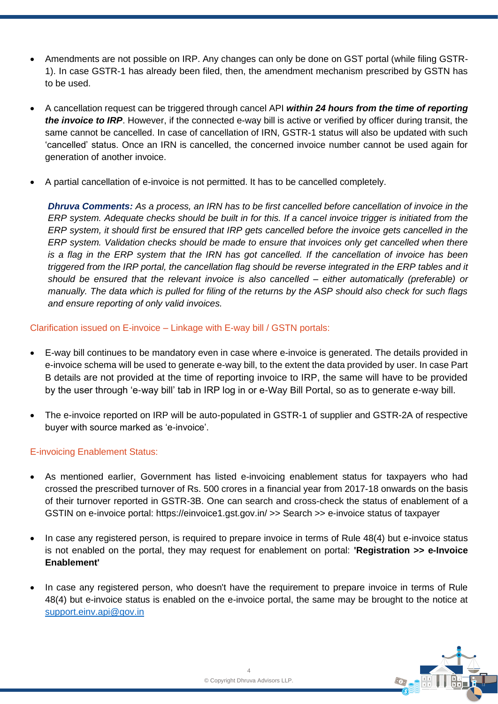- Amendments are not possible on IRP. Any changes can only be done on GST portal (while filing GSTR-1). In case GSTR-1 has already been filed, then, the amendment mechanism prescribed by GSTN has to be used.
- A cancellation request can be triggered through cancel API *within 24 hours from the time of reporting the invoice to IRP*. However, if the connected e-way bill is active or verified by officer during transit, the same cannot be cancelled. In case of cancellation of IRN, GSTR-1 status will also be updated with such 'cancelled' status. Once an IRN is cancelled, the concerned invoice number cannot be used again for generation of another invoice.
- A partial cancellation of e-invoice is not permitted. It has to be cancelled completely.

**Dhruva Comments:** As a process, an IRN has to be first cancelled before cancellation of invoice in the *ERP system. Adequate checks should be built in for this. If a cancel invoice trigger is initiated from the ERP system, it should first be ensured that IRP gets cancelled before the invoice gets cancelled in the ERP system. Validation checks should be made to ensure that invoices only get cancelled when there is a flag in the ERP system that the IRN has got cancelled. If the cancellation of invoice has been triggered from the IRP portal, the cancellation flag should be reverse integrated in the ERP tables and it should be ensured that the relevant invoice is also cancelled – either automatically (preferable) or manually. The data which is pulled for filing of the returns by the ASP should also check for such flags and ensure reporting of only valid invoices.*

Clarification issued on E-invoice – Linkage with E-way bill / GSTN portals:

- E-way bill continues to be mandatory even in case where e-invoice is generated. The details provided in e-invoice schema will be used to generate e-way bill, to the extent the data provided by user. In case Part B details are not provided at the time of reporting invoice to IRP, the same will have to be provided by the user through 'e-way bill' tab in IRP log in or e-Way Bill Portal, so as to generate e-way bill.
- The e-invoice reported on IRP will be auto-populated in GSTR-1 of supplier and GSTR-2A of respective buyer with source marked as 'e-invoice'.

# E-invoicing Enablement Status:

- As mentioned earlier, Government has listed e-invoicing enablement status for taxpayers who had crossed the prescribed turnover of Rs. 500 crores in a financial year from 2017-18 onwards on the basis of their turnover reported in GSTR-3B. One can search and cross-check the status of enablement of a GSTIN on e-invoice portal: https://einvoice1.gst.gov.in/ >> Search >> e-invoice status of taxpayer
- In case any registered person, is required to prepare invoice in terms of Rule 48(4) but e-invoice status is not enabled on the portal, they may request for enablement on portal: **'Registration >> e-Invoice Enablement'**
- In case any registered person, who doesn't have the requirement to prepare invoice in terms of Rule 48(4) but e-invoice status is enabled on the e-invoice portal, the same may be brought to the notice at [support.einv.api@gov.in](mailto:support.einv.api@gov.in)